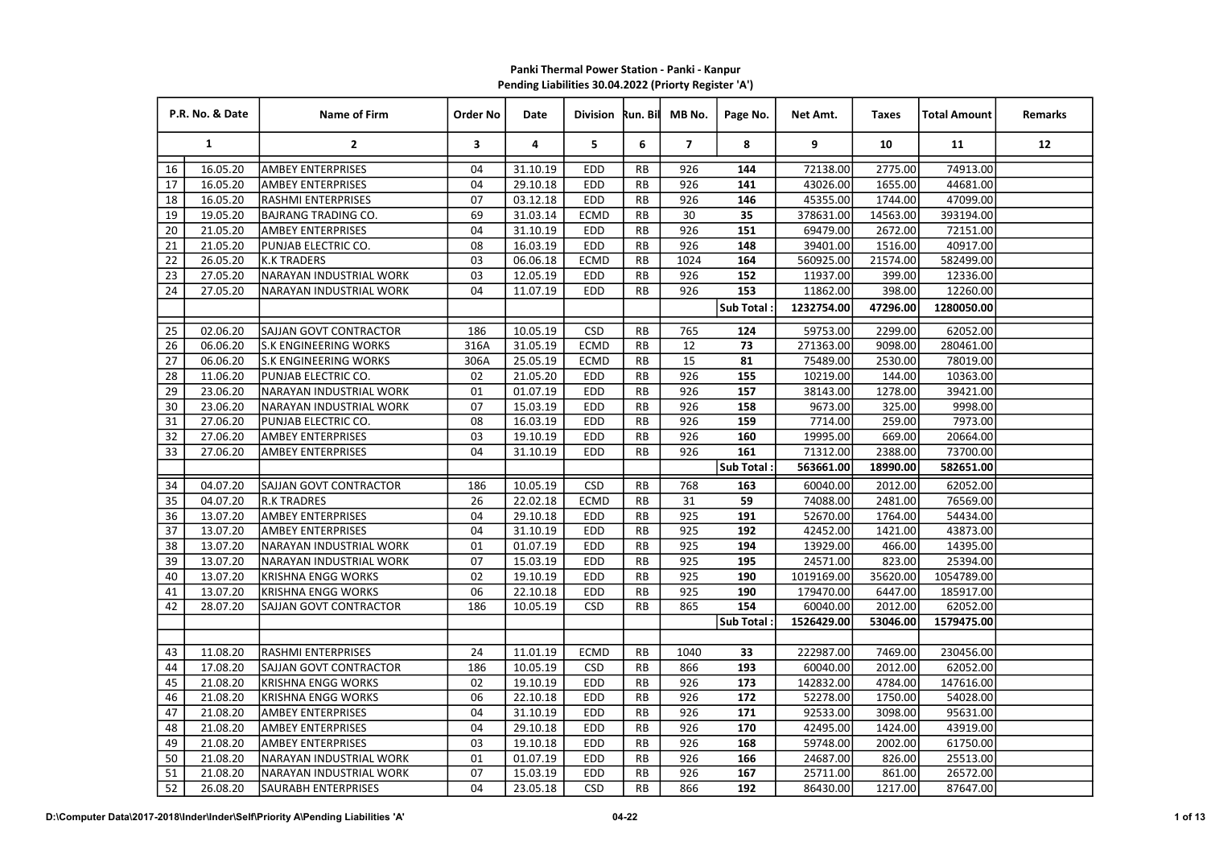## Panki Thermal Power Station - Panki - Kanpur Pending Liabilities 30.04.2022 (Priorty Register 'A')

| P.R. No. & Date |              | Name of Firm                 | Order No                | Date     | Division Run. Bill MB No. |           |                | Page No.   | Net Amt.   | <b>Taxes</b>         | <b>Total Amount</b> | Remarks |
|-----------------|--------------|------------------------------|-------------------------|----------|---------------------------|-----------|----------------|------------|------------|----------------------|---------------------|---------|
|                 | $\mathbf{1}$ | $2^{\circ}$                  | $\overline{\mathbf{3}}$ | 4        | 5                         | 6         | $\overline{7}$ | 8          | 9          | 10                   | 11                  | 12      |
| 16              | 16.05.20     | <b>AMBEY ENTERPRISES</b>     | 04                      | 31.10.19 | EDD                       | <b>RB</b> | 926            | 144        | 72138.00   | 2775.00              | 74913.00            |         |
| 17              | 16.05.20     | <b>AMBEY ENTERPRISES</b>     | 04                      | 29.10.18 | EDD                       | <b>RB</b> | 926            | 141        | 43026.00   | 1655.00              | 44681.00            |         |
| 18              | 16.05.20     | <b>RASHMI ENTERPRISES</b>    | 07                      | 03.12.18 | EDD                       | <b>RB</b> | 926            | 146        | 45355.00   | 1744.00              | 47099.00            |         |
| 19              | 19.05.20     | <b>BAJRANG TRADING CO.</b>   | 69                      | 31.03.14 | <b>ECMD</b>               | RB        | 30             | 35         | 378631.00  | 14563.00             | 393194.00           |         |
| 20              | 21.05.20     | <b>AMBEY ENTERPRISES</b>     | 04                      | 31.10.19 | EDD                       | <b>RB</b> | 926            | 151        | 69479.00   | 2672.00              | 72151.00            |         |
| 21              | 21.05.20     | PUNJAB ELECTRIC CO.          | 08                      | 16.03.19 | <b>EDD</b>                | <b>RB</b> | 926            | 148        | 39401.00   | 1516.00              | 40917.00            |         |
| $\overline{22}$ | 26.05.20     | K.K TRADERS                  | 03                      | 06.06.18 | <b>ECMD</b>               | <b>RB</b> | 1024           | 164        | 560925.00  | 21574.00             | 582499.00           |         |
| $\overline{23}$ | 27.05.20     | NARAYAN INDUSTRIAL WORK      | 03                      | 12.05.19 | EDD                       | <b>RB</b> | 926            | 152        | 11937.00   | 399.00               | 12336.00            |         |
| 24              | 27.05.20     | NARAYAN INDUSTRIAL WORK      | 04                      | 11.07.19 | EDD                       | <b>RB</b> | 926            | 153        | 11862.00   | 398.00               | 12260.00            |         |
|                 |              |                              |                         |          |                           |           |                | Sub Total  | 1232754.00 | 47296.00             | 1280050.00          |         |
| $\overline{25}$ | 02.06.20     | SAJJAN GOVT CONTRACTOR       | 186                     | 10.05.19 | <b>CSD</b>                | <b>RB</b> | 765            | 124        | 59753.00   | 2299.00              | 62052.00            |         |
| 26              | 06.06.20     | <b>S.K ENGINEERING WORKS</b> | 316A                    | 31.05.19 | <b>ECMD</b>               | <b>RB</b> | 12             | 73         | 271363.00  | 9098.00              | 280461.00           |         |
| 27              | 06.06.20     | <b>S.K ENGINEERING WORKS</b> | 306A                    | 25.05.19 | <b>ECMD</b>               | <b>RB</b> | 15             | 81         | 75489.00   | 2530.00              | 78019.00            |         |
| $\overline{28}$ | 11.06.20     | PUNJAB ELECTRIC CO.          | 02                      | 21.05.20 | <b>EDD</b>                | RB        | 926            | 155        | 10219.00   | 144.00               | 10363.00            |         |
| 29              | 23.06.20     | NARAYAN INDUSTRIAL WORK      | 01                      | 01.07.19 | EDD                       | RB        | 926            | 157        | 38143.00   | 1278.00              | 39421.00            |         |
| 30              | 23.06.20     | NARAYAN INDUSTRIAL WORK      | 07                      | 15.03.19 | EDD                       | <b>RB</b> | 926            | 158        | 9673.00    | 325.00               | 9998.00             |         |
| 31              | 27.06.20     | PUNJAB ELECTRIC CO.          | 08                      | 16.03.19 | <b>EDD</b>                | <b>RB</b> | 926            | 159        | 7714.00    | 259.00               | 7973.00             |         |
| $\overline{32}$ | 27.06.20     | <b>AMBEY ENTERPRISES</b>     | 03                      | 19.10.19 | EDD                       | RB        | 926            | 160        | 19995.00   | 669.00               | 20664.00            |         |
| 33              | 27.06.20     | <b>AMBEY ENTERPRISES</b>     | 04                      | 31.10.19 | <b>EDD</b>                | <b>RB</b> | 926            | 161        | 71312.00   | 2388.00              | 73700.00            |         |
|                 |              |                              |                         |          |                           |           |                | Sub Total: | 563661.00  | 18990.00             | 582651.00           |         |
| 34              | 04.07.20     | SAJJAN GOVT CONTRACTOR       | 186                     | 10.05.19 | <b>CSD</b>                | <b>RB</b> | 768            | 163        | 60040.00   | 2012.00              | 62052.00            |         |
| 35              | 04.07.20     | R.K TRADRES                  | 26                      | 22.02.18 | <b>ECMD</b>               | <b>RB</b> | 31             | 59         | 74088.00   | 2481.00              | 76569.00            |         |
| 36              | 13.07.20     | <b>AMBEY ENTERPRISES</b>     | 04                      | 29.10.18 | <b>EDD</b>                | <b>RB</b> | 925            | 191        | 52670.00   | 1764.00              | 54434.00            |         |
| 37              | 13.07.20     | <b>AMBEY ENTERPRISES</b>     | 04                      | 31.10.19 | <b>EDD</b>                | RB        | 925            | 192        | 42452.00   | 1421.00              | 43873.00            |         |
| 38              | 13.07.20     | NARAYAN INDUSTRIAL WORK      | 01                      | 01.07.19 | EDD                       | RB        | 925            | 194        | 13929.00   | 466.00               | 14395.00            |         |
| 39              | 13.07.20     | NARAYAN INDUSTRIAL WORK      | 07                      | 15.03.19 | <b>EDD</b>                | <b>RB</b> | 925            | 195        | 24571.00   | 823.00               | 25394.00            |         |
| 40              | 13.07.20     | <b>KRISHNA ENGG WORKS</b>    | 02                      | 19.10.19 | EDD                       | <b>RB</b> | 925            | 190        | 1019169.00 | 35620.00             | 1054789.00          |         |
| 41              | 13.07.20     | <b>KRISHNA ENGG WORKS</b>    | 06                      | 22.10.18 | <b>EDD</b>                | <b>RB</b> | 925            | 190        | 179470.00  | 6447.00              | 185917.00           |         |
| 42              | 28.07.20     | SAJJAN GOVT CONTRACTOR       | 186                     | 10.05.19 | <b>CSD</b>                | <b>RB</b> | 865            | 154        | 60040.00   | $\overline{2012.00}$ | 62052.00            |         |
|                 |              |                              |                         |          |                           |           |                | Sub Total: | 1526429.00 | 53046.00             | 1579475.00          |         |
|                 |              |                              |                         |          |                           |           |                |            |            |                      |                     |         |
| 43              | 11.08.20     | <b>RASHMI ENTERPRISES</b>    | 24                      | 11.01.19 | <b>ECMD</b>               | <b>RB</b> | 1040           | 33         | 222987.00  | 7469.00              | 230456.00           |         |
| 44              | 17.08.20     | SAJJAN GOVT CONTRACTOR       | 186                     | 10.05.19 | CSD                       | RB        | 866            | 193        | 60040.00   | 2012.00              | 62052.00            |         |
| 45              | 21.08.20     | KRISHNA ENGG WORKS           | 02                      | 19.10.19 | EDD                       | <b>RB</b> | 926            | 173        | 142832.00  | 4784.00              | 147616.00           |         |
| 46              | 21.08.20     | KRISHNA ENGG WORKS           | 06                      | 22.10.18 | EDD                       | <b>RB</b> | 926            | 172        | 52278.00   | 1750.00              | 54028.00            |         |
| 47              | 21.08.20     | <b>AMBEY ENTERPRISES</b>     | 04                      | 31.10.19 | <b>EDD</b>                | RB        | 926            | 171        | 92533.00   | 3098.00              | 95631.00            |         |
| 48              | 21.08.20     | <b>AMBEY ENTERPRISES</b>     | 04                      | 29.10.18 | <b>EDD</b>                | RB        | 926            | 170        | 42495.00   | 1424.00              | 43919.00            |         |
| 49              | 21.08.20     | <b>AMBEY ENTERPRISES</b>     | 03                      | 19.10.18 | EDD                       | <b>RB</b> | 926            | 168        | 59748.00   | 2002.00              | 61750.00            |         |
| 50              | 21.08.20     | NARAYAN INDUSTRIAL WORK      | 01                      | 01.07.19 | EDD                       | <b>RB</b> | 926            | 166        | 24687.00   | 826.00               | 25513.00            |         |
| $\overline{51}$ | 21.08.20     | NARAYAN INDUSTRIAL WORK      | 07                      | 15.03.19 | EDD                       | RB        | 926            | 167        | 25711.00   | 861.00               | 26572.00            |         |
| 52              | 26.08.20     | <b>SAURABH ENTERPRISES</b>   | 04                      | 23.05.18 | CSD                       | <b>RB</b> | 866            | 192        | 86430.00   | 1217.00              | 87647.00            |         |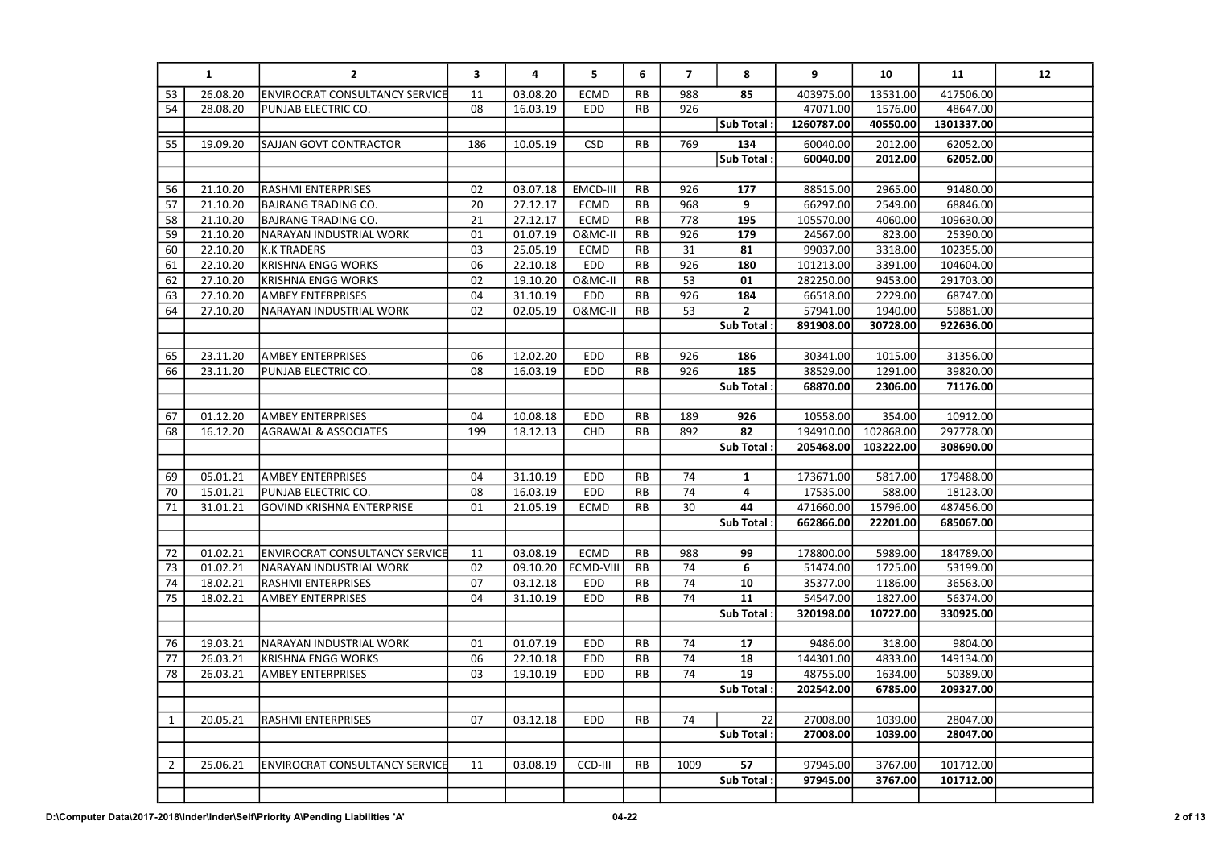|                | $\mathbf{1}$ | $\mathbf{2}$                          | 3         | 4        | 5           | 6         | $\overline{7}$  | 8                | 9          | 10        | 11         | 12 |
|----------------|--------------|---------------------------------------|-----------|----------|-------------|-----------|-----------------|------------------|------------|-----------|------------|----|
| 53             | 26.08.20     | <b>ENVIROCRAT CONSULTANCY SERVICE</b> | 11        | 03.08.20 | <b>ECMD</b> | RB        | 988             | 85               | 403975.00  | 13531.00  | 417506.00  |    |
| 54             | 28.08.20     | PUNJAB ELECTRIC CO.                   | 08        | 16.03.19 | <b>EDD</b>  | <b>RB</b> | 926             |                  | 47071.00   | 1576.00   | 48647.00   |    |
|                |              |                                       |           |          |             |           |                 | <b>Sub Total</b> | 1260787.00 | 40550.00  | 1301337.00 |    |
| 55             | 19.09.20     | SAJJAN GOVT CONTRACTOR                | 186       | 10.05.19 | <b>CSD</b>  | <b>RB</b> | 769             | 134              | 60040.00   | 2012.00   | 62052.00   |    |
|                |              |                                       |           |          |             |           |                 | Sub Total:       | 60040.00   | 2012.00   | 62052.00   |    |
|                |              |                                       |           |          |             |           |                 |                  |            |           |            |    |
| 56             | 21.10.20     | <b>RASHMI ENTERPRISES</b>             | 02        | 03.07.18 | EMCD-III    | <b>RB</b> | 926             | 177              | 88515.00   | 2965.00   | 91480.00   |    |
| 57             | 21.10.20     | <b>BAJRANG TRADING CO.</b>            | 20        | 27.12.17 | <b>ECMD</b> | <b>RB</b> | 968             | 9                | 66297.00   | 2549.00   | 68846.00   |    |
| 58             | 21.10.20     | <b>BAJRANG TRADING CO.</b>            | 21        | 27.12.17 | <b>ECMD</b> | RB        | 778             | 195              | 105570.00  | 4060.00   | 109630.00  |    |
| 59             | 21.10.20     | NARAYAN INDUSTRIAL WORK               | 01        | 01.07.19 | O&MC-II     | <b>RB</b> | 926             | 179              | 24567.00   | 823.00    | 25390.00   |    |
| 60             | 22.10.20     | <b>K.K TRADERS</b>                    | 03        | 25.05.19 | <b>ECMD</b> | <b>RB</b> | 31              | 81               | 99037.00   | 3318.00   | 102355.00  |    |
| 61             | 22.10.20     | <b>KRISHNA ENGG WORKS</b>             | 06        | 22.10.18 | EDD         | RB        | 926             | 180              | 101213.00  | 3391.00   | 104604.00  |    |
| 62             | 27.10.20     | <b>KRISHNA ENGG WORKS</b>             | 02        | 19.10.20 | O&MC-II     | <b>RB</b> | $\overline{53}$ | 01               | 282250.00  | 9453.00   | 291703.00  |    |
| 63             | 27.10.20     | <b>AMBEY ENTERPRISES</b>              | 04        | 31.10.19 | EDD         | <b>RB</b> | 926             | 184              | 66518.00   | 2229.00   | 68747.00   |    |
| 64             | 27.10.20     | NARAYAN INDUSTRIAL WORK               | 02        | 02.05.19 | O&MC-II     | <b>RB</b> | 53              | $\mathbf{2}$     | 57941.00   | 1940.00   | 59881.00   |    |
|                |              |                                       |           |          |             |           |                 | <b>Sub Total</b> | 891908.00  | 30728.00  | 922636.00  |    |
|                |              |                                       |           |          |             |           |                 |                  |            |           |            |    |
| 65             | 23.11.20     | <b>AMBEY ENTERPRISES</b>              | 06        | 12.02.20 | <b>EDD</b>  | <b>RB</b> | 926             | 186              | 30341.00   | 1015.00   | 31356.00   |    |
| 66             | 23.11.20     | PUNJAB ELECTRIC CO.                   | 08        | 16.03.19 | <b>EDD</b>  | <b>RB</b> | 926             | 185              | 38529.00   | 1291.00   | 39820.00   |    |
|                |              |                                       |           |          |             |           |                 | <b>Sub Total</b> | 68870.00   | 2306.00   | 71176.00   |    |
|                |              |                                       |           |          |             |           |                 |                  |            |           |            |    |
| 67             | 01.12.20     | <b>AMBEY ENTERPRISES</b>              | 04<br>199 | 10.08.18 | EDD         | <b>RB</b> | 189             | 926              | 10558.00   | 354.00    | 10912.00   |    |
| 68             | 16.12.20     | <b>AGRAWAL &amp; ASSOCIATES</b>       |           | 18.12.13 | CHD         | <b>RB</b> | 892             | 82               | 194910.00  | 102868.00 | 297778.00  |    |
|                |              |                                       |           |          |             |           |                 | Sub Total:       | 205468.00  | 103222.00 | 308690.00  |    |
| 69             | 05.01.21     | <b>AMBEY ENTERPRISES</b>              | 04        | 31.10.19 | <b>EDD</b>  | <b>RB</b> | 74              | $\mathbf{1}$     | 173671.00  | 5817.00   | 179488.00  |    |
| 70             | 15.01.21     | PUNJAB ELECTRIC CO.                   | 08        | 16.03.19 | EDD         | <b>RB</b> | 74              | 4                | 17535.00   | 588.00    | 18123.00   |    |
| 71             | 31.01.21     | GOVIND KRISHNA ENTERPRISE             | 01        | 21.05.19 | <b>ECMD</b> | <b>RB</b> | 30              | 44               | 471660.00  | 15796.00  | 487456.00  |    |
|                |              |                                       |           |          |             |           |                 | Sub Total        | 662866.00  | 22201.00  | 685067.00  |    |
|                |              |                                       |           |          |             |           |                 |                  |            |           |            |    |
| 72             | 01.02.21     | <b>ENVIROCRAT CONSULTANCY SERVICE</b> | 11        | 03.08.19 | <b>ECMD</b> | <b>RB</b> | 988             | 99               | 178800.00  | 5989.00   | 184789.00  |    |
| 73             | 01.02.21     | NARAYAN INDUSTRIAL WORK               | 02        | 09.10.20 | ECMD-VIII   | <b>RB</b> | 74              | 6                | 51474.00   | 1725.00   | 53199.00   |    |
| 74             | 18.02.21     | RASHMI ENTERPRISES                    | 07        | 03.12.18 | EDD         | <b>RB</b> | 74              | 10               | 35377.00   | 1186.00   | 36563.00   |    |
| 75             | 18.02.21     | <b>AMBEY ENTERPRISES</b>              | 04        | 31.10.19 | EDD         | RB        | 74              | 11               | 54547.00   | 1827.00   | 56374.00   |    |
|                |              |                                       |           |          |             |           |                 | <b>Sub Total</b> | 320198.00  | 10727.00  | 330925.00  |    |
|                |              |                                       |           |          |             |           |                 |                  |            |           |            |    |
| 76             | 19.03.21     | NARAYAN INDUSTRIAL WORK               | 01        | 01.07.19 | <b>EDD</b>  | <b>RB</b> | 74              | 17               | 9486.00    | 318.00    | 9804.00    |    |
| $77 \,$        | 26.03.21     | <b>KRISHNA ENGG WORKS</b>             | 06        | 22.10.18 | <b>EDD</b>  | RB        | 74              | 18               | 144301.00  | 4833.00   | 149134.00  |    |
| 78             | 26.03.21     | <b>AMBEY ENTERPRISES</b>              | 03        | 19.10.19 | EDD         | RB        | 74              | 19               | 48755.00   | 1634.00   | 50389.00   |    |
|                |              |                                       |           |          |             |           |                 | Sub Total:       | 202542.00  | 6785.00   | 209327.00  |    |
|                |              |                                       |           |          |             |           |                 |                  |            |           |            |    |
| $\mathbf{1}$   | 20.05.21     | RASHMI ENTERPRISES                    | 07        | 03.12.18 | EDD         | RB        | 74              | 22               | 27008.00   | 1039.00   | 28047.00   |    |
|                |              |                                       |           |          |             |           |                 | Sub Total:       | 27008.00   | 1039.00   | 28047.00   |    |
|                |              |                                       |           |          |             |           |                 |                  |            |           |            |    |
| $\overline{2}$ | 25.06.21     | <b>ENVIROCRAT CONSULTANCY SERVICE</b> | 11        | 03.08.19 | CCD-III     | <b>RB</b> | 1009            | 57               | 97945.00   | 3767.00   | 101712.00  |    |
|                |              |                                       |           |          |             |           |                 | <b>Sub Total</b> | 97945.00   | 3767.00   | 101712.00  |    |
|                |              |                                       |           |          |             |           |                 |                  |            |           |            |    |